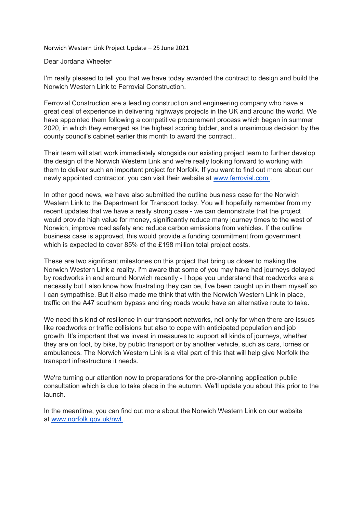Norwich Western Link Project Update – 25 June 2021

## Dear Jordana Wheeler

I'm really pleased to tell you that we have today awarded the contract to design and build the Norwich Western Link to Ferrovial Construction.

Ferrovial Construction are a leading construction and engineering company who have a great deal of experience in delivering highways projects in the UK and around the world. We have appointed them following a competitive procurement process which began in summer 2020, in which they emerged as the highest scoring bidder, and a unanimous decision by the county council's cabinet earlier this month to award the contract..

Their team will start work immediately alongside our existing project team to further develop the design of the Norwich Western Link and we're really looking forward to working with them to deliver such an important project for Norfolk. If you want to find out more about our newly appointed contractor, you can visit their website at [www.ferrovial.com](http://www.ferrovial.com/) .

In other good news, we have also submitted the outline business case for the Norwich Western Link to the Department for Transport today. You will hopefully remember from my recent updates that we have a really strong case - we can demonstrate that the project would provide high value for money, significantly reduce many journey times to the west of Norwich, improve road safety and reduce carbon emissions from vehicles. If the outline business case is approved, this would provide a funding commitment from government which is expected to cover 85% of the £198 million total project costs.

These are two significant milestones on this project that bring us closer to making the Norwich Western Link a reality. I'm aware that some of you may have had journeys delayed by roadworks in and around Norwich recently - I hope you understand that roadworks are a necessity but I also know how frustrating they can be, I've been caught up in them myself so I can sympathise. But it also made me think that with the Norwich Western Link in place, traffic on the A47 southern bypass and ring roads would have an alternative route to take.

We need this kind of resilience in our transport networks, not only for when there are issues like roadworks or traffic collisions but also to cope with anticipated population and job growth. It's important that we invest in measures to support all kinds of journeys, whether they are on foot, by bike, by public transport or by another vehicle, such as cars, lorries or ambulances. The Norwich Western Link is a vital part of this that will help give Norfolk the transport infrastructure it needs.

We're turning our attention now to preparations for the pre-planning application public consultation which is due to take place in the autumn. We'll update you about this prior to the launch.

In the meantime, you can find out more about the Norwich Western Link on our website at [www.norfolk.gov.uk/nwl](http://www.norfolk.gov.uk/nwl) .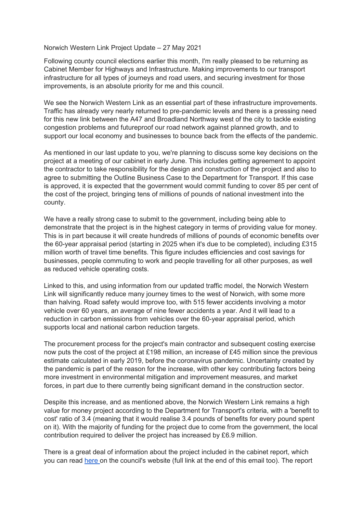Norwich Western Link Project Update – 27 May 2021

Following county council elections earlier this month, I'm really pleased to be returning as Cabinet Member for Highways and Infrastructure. Making improvements to our transport infrastructure for all types of journeys and road users, and securing investment for those improvements, is an absolute priority for me and this council.

We see the Norwich Western Link as an essential part of these infrastructure improvements. Traffic has already very nearly returned to pre-pandemic levels and there is a pressing need for this new link between the A47 and Broadland Northway west of the city to tackle existing congestion problems and futureproof our road network against planned growth, and to support our local economy and businesses to bounce back from the effects of the pandemic.

As mentioned in our last update to you, we're planning to discuss some key decisions on the project at a meeting of our cabinet in early June. This includes getting agreement to appoint the contractor to take responsibility for the design and construction of the project and also to agree to submitting the Outline Business Case to the Department for Transport. If this case is approved, it is expected that the government would commit funding to cover 85 per cent of the cost of the project, bringing tens of millions of pounds of national investment into the county.

We have a really strong case to submit to the government, including being able to demonstrate that the project is in the highest category in terms of providing value for money. This is in part because it will create hundreds of millions of pounds of economic benefits over the 60-year appraisal period (starting in 2025 when it's due to be completed), including £315 million worth of travel time benefits. This figure includes efficiencies and cost savings for businesses, people commuting to work and people travelling for all other purposes, as well as reduced vehicle operating costs.

Linked to this, and using information from our updated traffic model, the Norwich Western Link will significantly reduce many journey times to the west of Norwich, with some more than halving. Road safety would improve too, with 515 fewer accidents involving a motor vehicle over 60 years, an average of nine fewer accidents a year. And it will lead to a reduction in carbon emissions from vehicles over the 60-year appraisal period, which supports local and national carbon reduction targets.

The procurement process for the project's main contractor and subsequent costing exercise now puts the cost of the project at £198 million, an increase of £45 million since the previous estimate calculated in early 2019, before the coronavirus pandemic. Uncertainty created by the pandemic is part of the reason for the increase, with other key contributing factors being more investment in environmental mitigation and improvement measures, and market forces, in part due to there currently being significant demand in the construction sector.

Despite this increase, and as mentioned above, the Norwich Western Link remains a high value for money project according to the Department for Transport's criteria, with a 'benefit to cost' ratio of 3.4 (meaning that it would realise 3.4 pounds of benefits for every pound spent on it). With the majority of funding for the project due to come from the government, the local contribution required to deliver the project has increased by £6.9 million.

There is a great deal of information about the project included in the cabinet report, which you can read [here](https://norfolkcc.cmis.uk.com/norfolkcc/Meetings/tabid/128/ctl/ViewMeetingPublic/mid/496/Meeting/1791/Committee/169/Default.aspx) on the council's website (full link at the end of this email too). The report